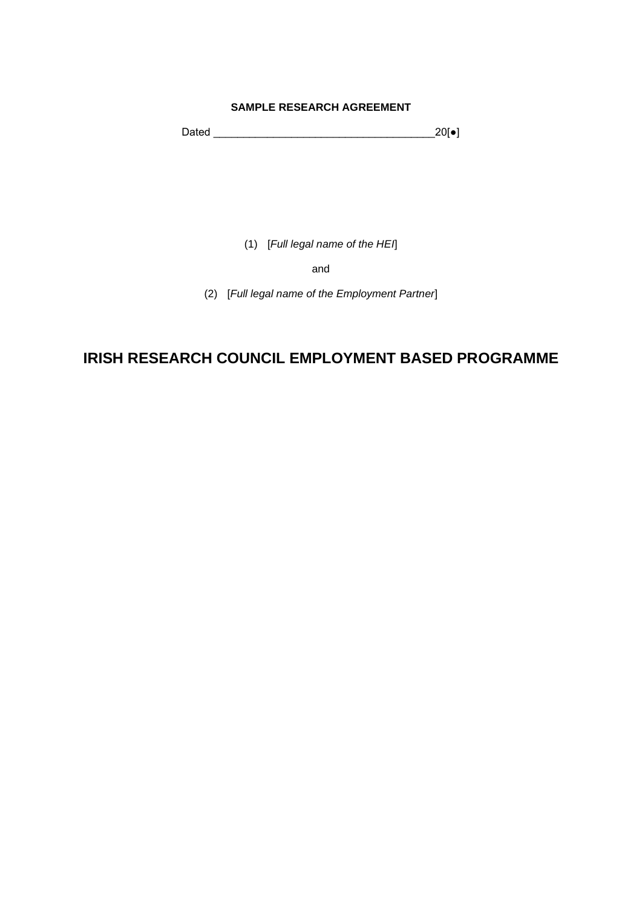#### **SAMPLE RESEARCH AGREEMENT**

Dated \_\_\_\_\_\_\_\_\_\_\_\_\_\_\_\_\_\_\_\_\_\_\_\_\_\_\_\_\_\_\_\_\_\_\_\_\_20[●]

(1) [*Full legal name of the HEI*]

and

(2) [*Full legal name of the Employment Partner*]

## **IRISH RESEARCH COUNCIL EMPLOYMENT BASED PROGRAMME**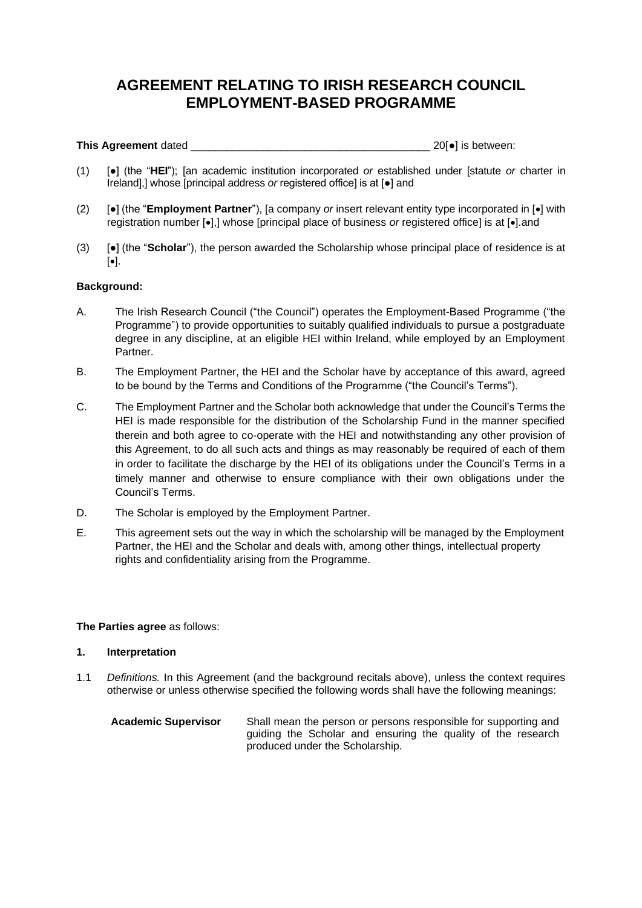## **AGREEMENT RELATING TO IRISH RESEARCH COUNCIL EMPLOYMENT-BASED PROGRAMME**

**This Agreement** dated **and a set of the set of the set of the set of the set of the set of the set of the set of the set of the set of the set of the set of the set of the set of the set of the set of the set of the set** 

- (1) [●] (the "**HEI**"); [an academic institution incorporated *or* established under [statute *or* charter in Ireland],] whose [principal address *or* registered office] is at [●] and
- (2) [●] (the "**Employment Partner**"), [a company *or* insert relevant entity type incorporated in [•] with registration number [•],] whose [principal place of business *or* registered office] is at [•].and
- (3) [●] (the "**Scholar**"), the person awarded the Scholarship whose principal place of residence is at [•].

#### **Background:**

- A. The Irish Research Council ("the Council") operates the Employment-Based Programme ("the Programme") to provide opportunities to suitably qualified individuals to pursue a postgraduate degree in any discipline, at an eligible HEI within Ireland, while employed by an Employment Partner.
- B. The Employment Partner, the HEI and the Scholar have by acceptance of this award, agreed to be bound by the Terms and Conditions of the Programme ("the Council's Terms").
- C. The Employment Partner and the Scholar both acknowledge that under the Council's Terms the HEI is made responsible for the distribution of the Scholarship Fund in the manner specified therein and both agree to co-operate with the HEI and notwithstanding any other provision of this Agreement, to do all such acts and things as may reasonably be required of each of them in order to facilitate the discharge by the HEI of its obligations under the Council's Terms in a timely manner and otherwise to ensure compliance with their own obligations under the Council's Terms.
- D. The Scholar is employed by the Employment Partner.
- E. This agreement sets out the way in which the scholarship will be managed by the Employment Partner, the HEI and the Scholar and deals with, among other things, intellectual property rights and confidentiality arising from the Programme.

#### **The Parties agree** as follows:

#### **1. Interpretation**

1.1 *Definitions.* In this Agreement (and the background recitals above), unless the context requires otherwise or unless otherwise specified the following words shall have the following meanings:

| <b>Academic Supervisor</b> | Shall mean the person or persons responsible for supporting and |  |
|----------------------------|-----------------------------------------------------------------|--|
|                            | guiding the Scholar and ensuring the quality of the research    |  |
|                            | produced under the Scholarship.                                 |  |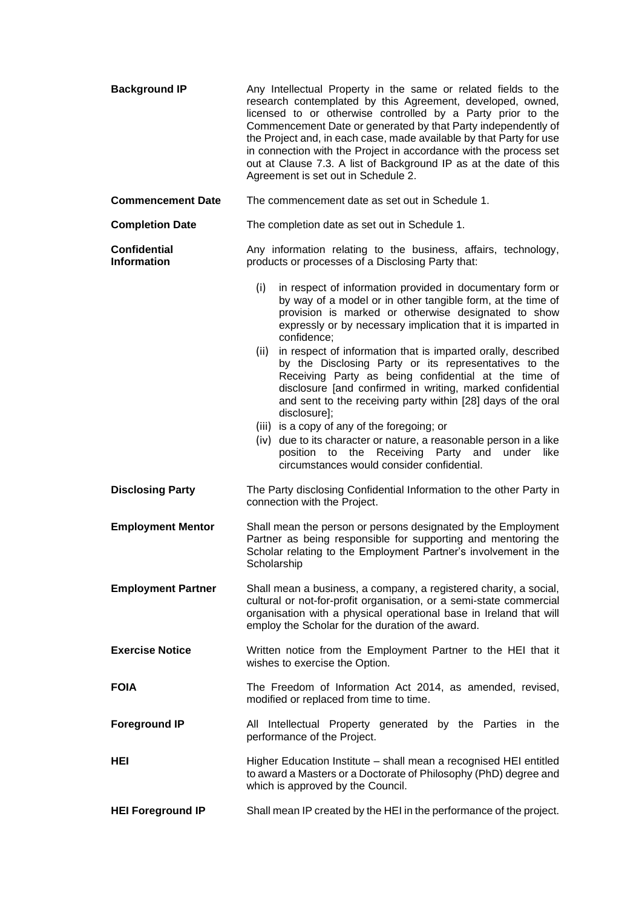| <b>Background IP</b>                      | Any Intellectual Property in the same or related fields to the<br>research contemplated by this Agreement, developed, owned,<br>licensed to or otherwise controlled by a Party prior to the<br>Commencement Date or generated by that Party independently of<br>the Project and, in each case, made available by that Party for use<br>in connection with the Project in accordance with the process set<br>out at Clause 7.3. A list of Background IP as at the date of this<br>Agreement is set out in Schedule 2.                                                                                                                                                                                                                                                                                                                   |  |
|-------------------------------------------|----------------------------------------------------------------------------------------------------------------------------------------------------------------------------------------------------------------------------------------------------------------------------------------------------------------------------------------------------------------------------------------------------------------------------------------------------------------------------------------------------------------------------------------------------------------------------------------------------------------------------------------------------------------------------------------------------------------------------------------------------------------------------------------------------------------------------------------|--|
| <b>Commencement Date</b>                  | The commencement date as set out in Schedule 1.                                                                                                                                                                                                                                                                                                                                                                                                                                                                                                                                                                                                                                                                                                                                                                                        |  |
| <b>Completion Date</b>                    | The completion date as set out in Schedule 1.                                                                                                                                                                                                                                                                                                                                                                                                                                                                                                                                                                                                                                                                                                                                                                                          |  |
| <b>Confidential</b><br><b>Information</b> | Any information relating to the business, affairs, technology,<br>products or processes of a Disclosing Party that:                                                                                                                                                                                                                                                                                                                                                                                                                                                                                                                                                                                                                                                                                                                    |  |
|                                           | (i)<br>in respect of information provided in documentary form or<br>by way of a model or in other tangible form, at the time of<br>provision is marked or otherwise designated to show<br>expressly or by necessary implication that it is imparted in<br>confidence;<br>in respect of information that is imparted orally, described<br>(ii)<br>by the Disclosing Party or its representatives to the<br>Receiving Party as being confidential at the time of<br>disclosure [and confirmed in writing, marked confidential<br>and sent to the receiving party within [28] days of the oral<br>disclosure];<br>(iii) is a copy of any of the foregoing; or<br>(iv) due to its character or nature, a reasonable person in a like<br>position to the Receiving Party and<br>under<br>like<br>circumstances would consider confidential. |  |
| <b>Disclosing Party</b>                   | The Party disclosing Confidential Information to the other Party in<br>connection with the Project.                                                                                                                                                                                                                                                                                                                                                                                                                                                                                                                                                                                                                                                                                                                                    |  |
| <b>Employment Mentor</b>                  | Shall mean the person or persons designated by the Employment<br>Partner as being responsible for supporting and mentoring the<br>Scholar relating to the Employment Partner's involvement in the<br>Scholarship                                                                                                                                                                                                                                                                                                                                                                                                                                                                                                                                                                                                                       |  |
| <b>Employment Partner</b>                 | Shall mean a business, a company, a registered charity, a social,<br>cultural or not-for-profit organisation, or a semi-state commercial<br>organisation with a physical operational base in Ireland that will<br>employ the Scholar for the duration of the award.                                                                                                                                                                                                                                                                                                                                                                                                                                                                                                                                                                    |  |
| <b>Exercise Notice</b>                    | Written notice from the Employment Partner to the HEI that it<br>wishes to exercise the Option.                                                                                                                                                                                                                                                                                                                                                                                                                                                                                                                                                                                                                                                                                                                                        |  |
| <b>FOIA</b>                               | The Freedom of Information Act 2014, as amended, revised,<br>modified or replaced from time to time.                                                                                                                                                                                                                                                                                                                                                                                                                                                                                                                                                                                                                                                                                                                                   |  |
| <b>Foreground IP</b>                      | All Intellectual Property generated by the Parties in the<br>performance of the Project.                                                                                                                                                                                                                                                                                                                                                                                                                                                                                                                                                                                                                                                                                                                                               |  |
| HEI                                       | Higher Education Institute – shall mean a recognised HEI entitled<br>to award a Masters or a Doctorate of Philosophy (PhD) degree and<br>which is approved by the Council.                                                                                                                                                                                                                                                                                                                                                                                                                                                                                                                                                                                                                                                             |  |
| <b>HEI Foreground IP</b>                  | Shall mean IP created by the HEI in the performance of the project.                                                                                                                                                                                                                                                                                                                                                                                                                                                                                                                                                                                                                                                                                                                                                                    |  |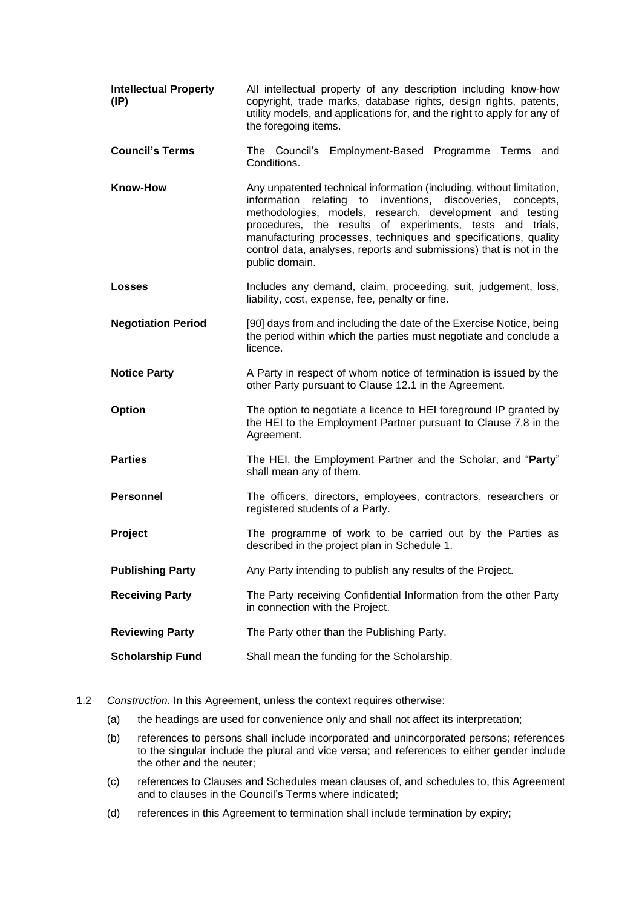| <b>Intellectual Property</b><br>(IP) | All intellectual property of any description including know-how<br>copyright, trade marks, database rights, design rights, patents,<br>utility models, and applications for, and the right to apply for any of<br>the foregoing items.                                                                                                                                                                                  |
|--------------------------------------|-------------------------------------------------------------------------------------------------------------------------------------------------------------------------------------------------------------------------------------------------------------------------------------------------------------------------------------------------------------------------------------------------------------------------|
| <b>Council's Terms</b>               | The Council's Employment-Based Programme Terms and<br>Conditions.                                                                                                                                                                                                                                                                                                                                                       |
| <b>Know-How</b>                      | Any unpatented technical information (including, without limitation,<br>information relating to inventions, discoveries, concepts,<br>methodologies, models, research, development and testing<br>procedures, the results of experiments, tests and trials,<br>manufacturing processes, techniques and specifications, quality<br>control data, analyses, reports and submissions) that is not in the<br>public domain. |
| <b>Losses</b>                        | Includes any demand, claim, proceeding, suit, judgement, loss,<br>liability, cost, expense, fee, penalty or fine.                                                                                                                                                                                                                                                                                                       |
| <b>Negotiation Period</b>            | [90] days from and including the date of the Exercise Notice, being<br>the period within which the parties must negotiate and conclude a<br>licence.                                                                                                                                                                                                                                                                    |
| <b>Notice Party</b>                  | A Party in respect of whom notice of termination is issued by the<br>other Party pursuant to Clause 12.1 in the Agreement.                                                                                                                                                                                                                                                                                              |
| <b>Option</b>                        | The option to negotiate a licence to HEI foreground IP granted by<br>the HEI to the Employment Partner pursuant to Clause 7.8 in the<br>Agreement.                                                                                                                                                                                                                                                                      |
| <b>Parties</b>                       | The HEI, the Employment Partner and the Scholar, and "Party"<br>shall mean any of them.                                                                                                                                                                                                                                                                                                                                 |
| <b>Personnel</b>                     | The officers, directors, employees, contractors, researchers or<br>registered students of a Party.                                                                                                                                                                                                                                                                                                                      |
| Project                              | The programme of work to be carried out by the Parties as<br>described in the project plan in Schedule 1.                                                                                                                                                                                                                                                                                                               |
| <b>Publishing Party</b>              | Any Party intending to publish any results of the Project.                                                                                                                                                                                                                                                                                                                                                              |
| <b>Receiving Party</b>               | The Party receiving Confidential Information from the other Party<br>in connection with the Project.                                                                                                                                                                                                                                                                                                                    |
| <b>Reviewing Party</b>               | The Party other than the Publishing Party.                                                                                                                                                                                                                                                                                                                                                                              |
| <b>Scholarship Fund</b>              | Shall mean the funding for the Scholarship.                                                                                                                                                                                                                                                                                                                                                                             |

- 1.2 *Construction.* In this Agreement, unless the context requires otherwise:
	- (a) the headings are used for convenience only and shall not affect its interpretation;
	- (b) references to persons shall include incorporated and unincorporated persons; references to the singular include the plural and vice versa; and references to either gender include the other and the neuter;
	- (c) references to Clauses and Schedules mean clauses of, and schedules to, this Agreement and to clauses in the Council's Terms where indicated;
	- (d) references in this Agreement to termination shall include termination by expiry;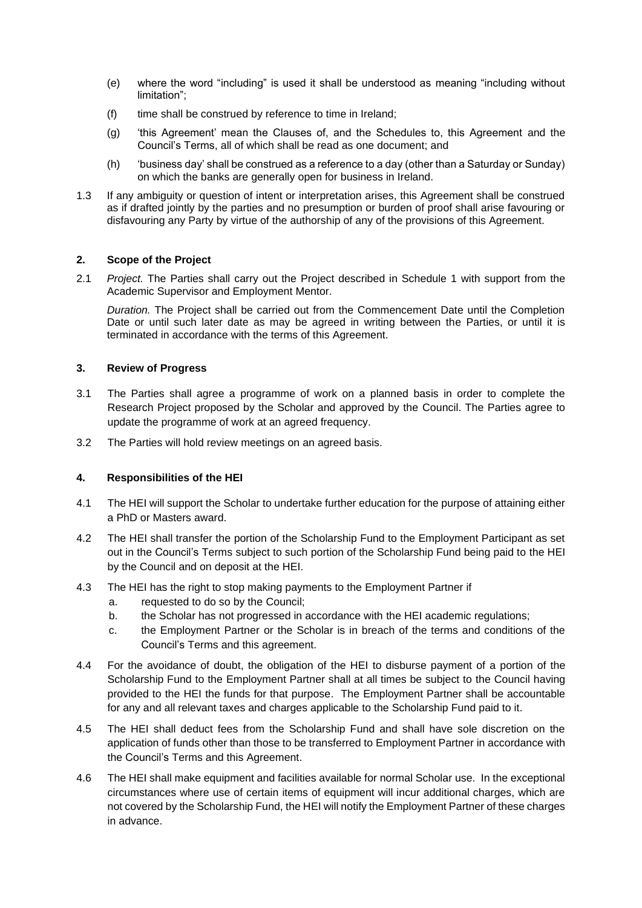- (e) where the word "including" is used it shall be understood as meaning "including without limitation";
- (f) time shall be construed by reference to time in Ireland;
- (g) 'this Agreement' mean the Clauses of, and the Schedules to, this Agreement and the Council's Terms, all of which shall be read as one document; and
- (h) 'business day' shall be construed as a reference to a day (other than a Saturday or Sunday) on which the banks are generally open for business in Ireland.
- 1.3 If any ambiguity or question of intent or interpretation arises, this Agreement shall be construed as if drafted jointly by the parties and no presumption or burden of proof shall arise favouring or disfavouring any Party by virtue of the authorship of any of the provisions of this Agreement.

#### **2. Scope of the Project**

2.1 *Project.* The Parties shall carry out the Project described in Schedule 1 with support from the Academic Supervisor and Employment Mentor.

*Duration.* The Project shall be carried out from the Commencement Date until the Completion Date or until such later date as may be agreed in writing between the Parties, or until it is terminated in accordance with the terms of this Agreement.

#### **3. Review of Progress**

- 3.1 The Parties shall agree a programme of work on a planned basis in order to complete the Research Project proposed by the Scholar and approved by the Council. The Parties agree to update the programme of work at an agreed frequency.
- 3.2 The Parties will hold review meetings on an agreed basis.

#### **4. Responsibilities of the HEI**

- 4.1 The HEI will support the Scholar to undertake further education for the purpose of attaining either a PhD or Masters award.
- 4.2 The HEI shall transfer the portion of the Scholarship Fund to the Employment Participant as set out in the Council's Terms subject to such portion of the Scholarship Fund being paid to the HEI by the Council and on deposit at the HEI.
- 4.3 The HEI has the right to stop making payments to the Employment Partner if
	- a. requested to do so by the Council;
	- b. the Scholar has not progressed in accordance with the HEI academic regulations;
	- c. the Employment Partner or the Scholar is in breach of the terms and conditions of the Council's Terms and this agreement.
- 4.4 For the avoidance of doubt, the obligation of the HEI to disburse payment of a portion of the Scholarship Fund to the Employment Partner shall at all times be subject to the Council having provided to the HEI the funds for that purpose. The Employment Partner shall be accountable for any and all relevant taxes and charges applicable to the Scholarship Fund paid to it.
- 4.5 The HEI shall deduct fees from the Scholarship Fund and shall have sole discretion on the application of funds other than those to be transferred to Employment Partner in accordance with the Council's Terms and this Agreement.
- 4.6 The HEI shall make equipment and facilities available for normal Scholar use. In the exceptional circumstances where use of certain items of equipment will incur additional charges, which are not covered by the Scholarship Fund, the HEI will notify the Employment Partner of these charges in advance.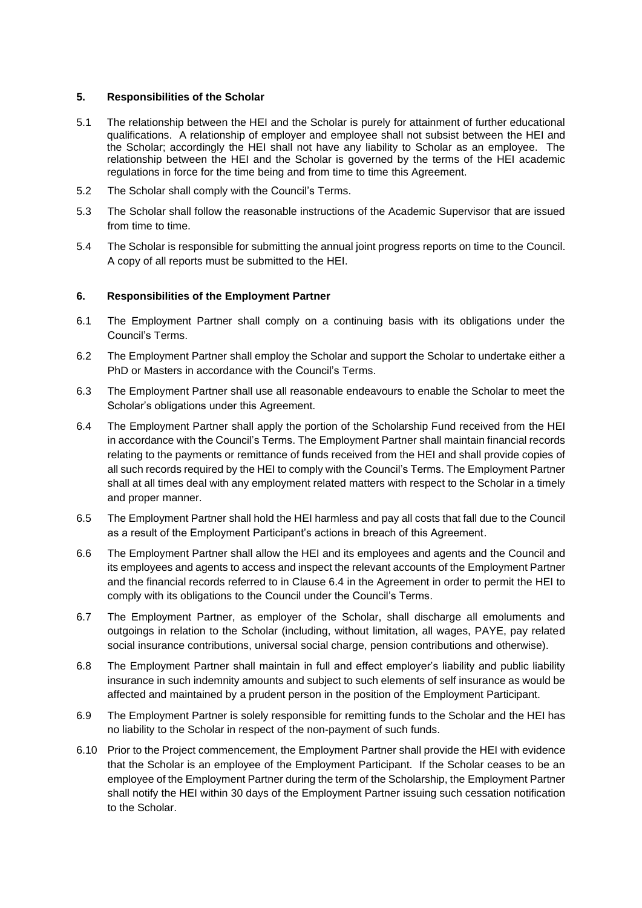#### **5. Responsibilities of the Scholar**

- 5.1 The relationship between the HEI and the Scholar is purely for attainment of further educational qualifications. A relationship of employer and employee shall not subsist between the HEI and the Scholar; accordingly the HEI shall not have any liability to Scholar as an employee. The relationship between the HEI and the Scholar is governed by the terms of the HEI academic regulations in force for the time being and from time to time this Agreement.
- 5.2 The Scholar shall comply with the Council's Terms.
- 5.3 The Scholar shall follow the reasonable instructions of the Academic Supervisor that are issued from time to time.
- 5.4 The Scholar is responsible for submitting the annual joint progress reports on time to the Council. A copy of all reports must be submitted to the HEI.

#### **6. Responsibilities of the Employment Partner**

- 6.1 The Employment Partner shall comply on a continuing basis with its obligations under the Council's Terms.
- 6.2 The Employment Partner shall employ the Scholar and support the Scholar to undertake either a PhD or Masters in accordance with the Council's Terms.
- 6.3 The Employment Partner shall use all reasonable endeavours to enable the Scholar to meet the Scholar's obligations under this Agreement.
- 6.4 The Employment Partner shall apply the portion of the Scholarship Fund received from the HEI in accordance with the Council's Terms. The Employment Partner shall maintain financial records relating to the payments or remittance of funds received from the HEI and shall provide copies of all such records required by the HEI to comply with the Council's Terms. The Employment Partner shall at all times deal with any employment related matters with respect to the Scholar in a timely and proper manner.
- 6.5 The Employment Partner shall hold the HEI harmless and pay all costs that fall due to the Council as a result of the Employment Participant's actions in breach of this Agreement.
- 6.6 The Employment Partner shall allow the HEI and its employees and agents and the Council and its employees and agents to access and inspect the relevant accounts of the Employment Partner and the financial records referred to in Clause 6.4 in the Agreement in order to permit the HEI to comply with its obligations to the Council under the Council's Terms.
- 6.7 The Employment Partner, as employer of the Scholar, shall discharge all emoluments and outgoings in relation to the Scholar (including, without limitation, all wages, PAYE, pay related social insurance contributions, universal social charge, pension contributions and otherwise).
- 6.8 The Employment Partner shall maintain in full and effect employer's liability and public liability insurance in such indemnity amounts and subject to such elements of self insurance as would be affected and maintained by a prudent person in the position of the Employment Participant.
- 6.9 The Employment Partner is solely responsible for remitting funds to the Scholar and the HEI has no liability to the Scholar in respect of the non-payment of such funds.
- 6.10 Prior to the Project commencement, the Employment Partner shall provide the HEI with evidence that the Scholar is an employee of the Employment Participant. If the Scholar ceases to be an employee of the Employment Partner during the term of the Scholarship, the Employment Partner shall notify the HEI within 30 days of the Employment Partner issuing such cessation notification to the Scholar.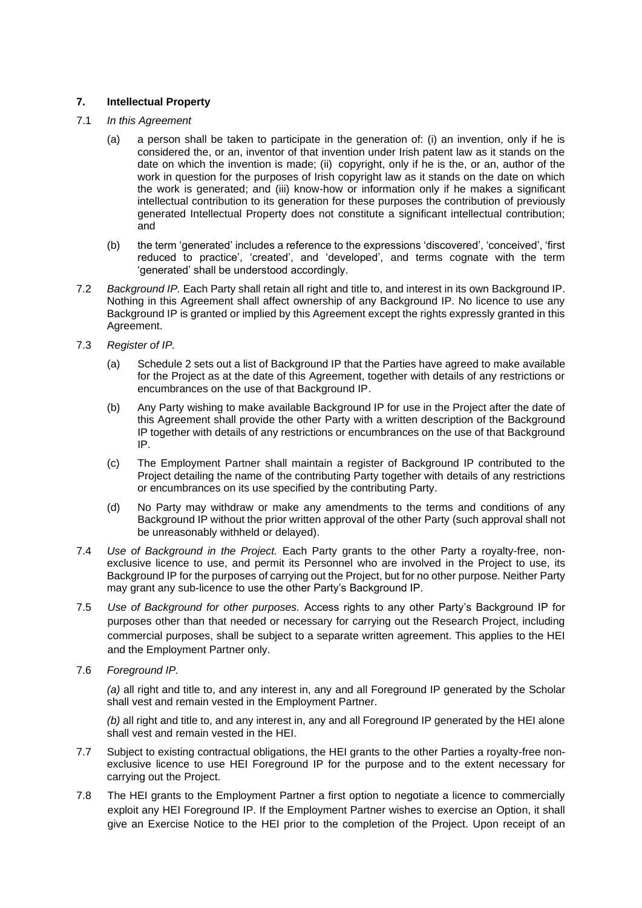#### **7. Intellectual Property**

- 7.1 *In this Agreement*
	- (a) a person shall be taken to participate in the generation of: (i) an invention, only if he is considered the, or an, inventor of that invention under Irish patent law as it stands on the date on which the invention is made; (ii) copyright, only if he is the, or an, author of the work in question for the purposes of Irish copyright law as it stands on the date on which the work is generated; and (iii) know-how or information only if he makes a significant intellectual contribution to its generation for these purposes the contribution of previously generated Intellectual Property does not constitute a significant intellectual contribution; and
	- (b) the term 'generated' includes a reference to the expressions 'discovered', 'conceived', 'first reduced to practice', 'created', and 'developed', and terms cognate with the term 'generated' shall be understood accordingly.
- 7.2 *Background IP.* Each Party shall retain all right and title to, and interest in its own Background IP. Nothing in this Agreement shall affect ownership of any Background IP. No licence to use any Background IP is granted or implied by this Agreement except the rights expressly granted in this Agreement.
- 7.3 *Register of IP.*
	- (a) Schedule 2 sets out a list of Background IP that the Parties have agreed to make available for the Project as at the date of this Agreement, together with details of any restrictions or encumbrances on the use of that Background IP.
	- (b) Any Party wishing to make available Background IP for use in the Project after the date of this Agreement shall provide the other Party with a written description of the Background IP together with details of any restrictions or encumbrances on the use of that Background IP.
	- (c) The Employment Partner shall maintain a register of Background IP contributed to the Project detailing the name of the contributing Party together with details of any restrictions or encumbrances on its use specified by the contributing Party.
	- (d) No Party may withdraw or make any amendments to the terms and conditions of any Background IP without the prior written approval of the other Party (such approval shall not be unreasonably withheld or delayed).
- 7.4 *Use of Background in the Project.* Each Party grants to the other Party a royalty-free, nonexclusive licence to use, and permit its Personnel who are involved in the Project to use, its Background IP for the purposes of carrying out the Project, but for no other purpose. Neither Party may grant any sub-licence to use the other Party's Background IP.
- 7.5 *Use of Background for other purposes.* Access rights to any other Party's Background IP for purposes other than that needed or necessary for carrying out the Research Project, including commercial purposes, shall be subject to a separate written agreement. This applies to the HEI and the Employment Partner only.
- 7.6 *Foreground IP.*

*(a)* all right and title to, and any interest in, any and all Foreground IP generated by the Scholar shall vest and remain vested in the Employment Partner.

*(b)* all right and title to, and any interest in, any and all Foreground IP generated by the HEI alone shall vest and remain vested in the HEI.

- 7.7 Subject to existing contractual obligations, the HEI grants to the other Parties a royalty-free nonexclusive licence to use HEI Foreground IP for the purpose and to the extent necessary for carrying out the Project.
- 7.8 The HEI grants to the Employment Partner a first option to negotiate a licence to commercially exploit any HEI Foreground IP. If the Employment Partner wishes to exercise an Option, it shall give an Exercise Notice to the HEI prior to the completion of the Project. Upon receipt of an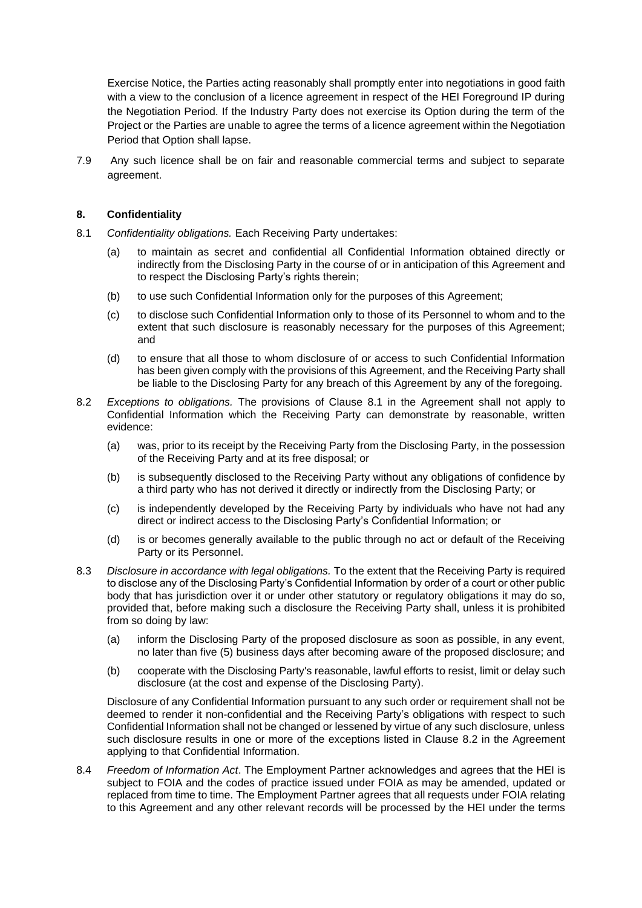Exercise Notice, the Parties acting reasonably shall promptly enter into negotiations in good faith with a view to the conclusion of a licence agreement in respect of the HEI Foreground IP during the Negotiation Period. If the Industry Party does not exercise its Option during the term of the Project or the Parties are unable to agree the terms of a licence agreement within the Negotiation Period that Option shall lapse.

7.9 Any such licence shall be on fair and reasonable commercial terms and subject to separate agreement.

#### **8. Confidentiality**

- 8.1 *Confidentiality obligations.* Each Receiving Party undertakes:
	- (a) to maintain as secret and confidential all Confidential Information obtained directly or indirectly from the Disclosing Party in the course of or in anticipation of this Agreement and to respect the Disclosing Party's rights therein;
	- (b) to use such Confidential Information only for the purposes of this Agreement;
	- (c) to disclose such Confidential Information only to those of its Personnel to whom and to the extent that such disclosure is reasonably necessary for the purposes of this Agreement; and
	- (d) to ensure that all those to whom disclosure of or access to such Confidential Information has been given comply with the provisions of this Agreement, and the Receiving Party shall be liable to the Disclosing Party for any breach of this Agreement by any of the foregoing.
- 8.2 *Exceptions to obligations.* The provisions of Clause 8.1 in the Agreement shall not apply to Confidential Information which the Receiving Party can demonstrate by reasonable, written evidence:
	- (a) was, prior to its receipt by the Receiving Party from the Disclosing Party, in the possession of the Receiving Party and at its free disposal; or
	- (b) is subsequently disclosed to the Receiving Party without any obligations of confidence by a third party who has not derived it directly or indirectly from the Disclosing Party; or
	- (c) is independently developed by the Receiving Party by individuals who have not had any direct or indirect access to the Disclosing Party's Confidential Information; or
	- (d) is or becomes generally available to the public through no act or default of the Receiving Party or its Personnel.
- 8.3 *Disclosure in accordance with legal obligations.* To the extent that the Receiving Party is required to disclose any of the Disclosing Party's Confidential Information by order of a court or other public body that has jurisdiction over it or under other statutory or regulatory obligations it may do so, provided that, before making such a disclosure the Receiving Party shall, unless it is prohibited from so doing by law:
	- (a) inform the Disclosing Party of the proposed disclosure as soon as possible, in any event, no later than five (5) business days after becoming aware of the proposed disclosure; and
	- (b) cooperate with the Disclosing Party's reasonable, lawful efforts to resist, limit or delay such disclosure (at the cost and expense of the Disclosing Party).

Disclosure of any Confidential Information pursuant to any such order or requirement shall not be deemed to render it non-confidential and the Receiving Party's obligations with respect to such Confidential Information shall not be changed or lessened by virtue of any such disclosure, unless such disclosure results in one or more of the exceptions listed in Clause 8.2 in the Agreement applying to that Confidential Information.

8.4 *Freedom of Information Act*. The Employment Partner acknowledges and agrees that the HEI is subject to FOIA and the codes of practice issued under FOIA as may be amended, updated or replaced from time to time. The Employment Partner agrees that all requests under FOIA relating to this Agreement and any other relevant records will be processed by the HEI under the terms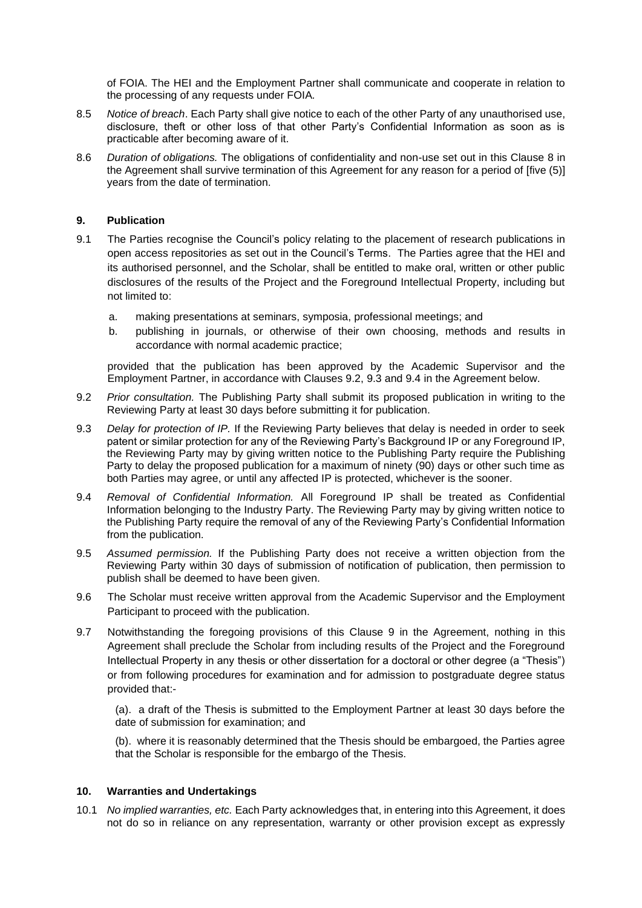of FOIA. The HEI and the Employment Partner shall communicate and cooperate in relation to the processing of any requests under FOIA*.*

- 8.5 *Notice of breach*. Each Party shall give notice to each of the other Party of any unauthorised use, disclosure, theft or other loss of that other Party's Confidential Information as soon as is practicable after becoming aware of it.
- 8.6 *Duration of obligations.* The obligations of confidentiality and non-use set out in this Clause 8 in the Agreement shall survive termination of this Agreement for any reason for a period of [five (5)] years from the date of termination.

#### **9. Publication**

- 9.1 The Parties recognise the Council's policy relating to the placement of research publications in open access repositories as set out in the Council's Terms. The Parties agree that the HEI and its authorised personnel, and the Scholar, shall be entitled to make oral, written or other public disclosures of the results of the Project and the Foreground Intellectual Property, including but not limited to:
	- a. making presentations at seminars, symposia, professional meetings; and
	- b. publishing in journals, or otherwise of their own choosing, methods and results in accordance with normal academic practice;

provided that the publication has been approved by the Academic Supervisor and the Employment Partner, in accordance with Clauses 9.2, 9.3 and 9.4 in the Agreement below.

- 9.2 *Prior consultation.* The Publishing Party shall submit its proposed publication in writing to the Reviewing Party at least 30 days before submitting it for publication.
- 9.3 *Delay for protection of IP.* If the Reviewing Party believes that delay is needed in order to seek patent or similar protection for any of the Reviewing Party's Background IP or any Foreground IP, the Reviewing Party may by giving written notice to the Publishing Party require the Publishing Party to delay the proposed publication for a maximum of ninety (90) days or other such time as both Parties may agree, or until any affected IP is protected, whichever is the sooner.
- 9.4 *Removal of Confidential Information.* All Foreground IP shall be treated as Confidential Information belonging to the Industry Party. The Reviewing Party may by giving written notice to the Publishing Party require the removal of any of the Reviewing Party's Confidential Information from the publication.
- 9.5 *Assumed permission.* If the Publishing Party does not receive a written objection from the Reviewing Party within 30 days of submission of notification of publication, then permission to publish shall be deemed to have been given.
- 9.6 The Scholar must receive written approval from the Academic Supervisor and the Employment Participant to proceed with the publication.
- 9.7 Notwithstanding the foregoing provisions of this Clause 9 in the Agreement, nothing in this Agreement shall preclude the Scholar from including results of the Project and the Foreground Intellectual Property in any thesis or other dissertation for a doctoral or other degree (a "Thesis") or from following procedures for examination and for admission to postgraduate degree status provided that:-

(a). a draft of the Thesis is submitted to the Employment Partner at least 30 days before the date of submission for examination; and

(b). where it is reasonably determined that the Thesis should be embargoed, the Parties agree that the Scholar is responsible for the embargo of the Thesis.

#### **10. Warranties and Undertakings**

10.1 *No implied warranties, etc.* Each Party acknowledges that, in entering into this Agreement, it does not do so in reliance on any representation, warranty or other provision except as expressly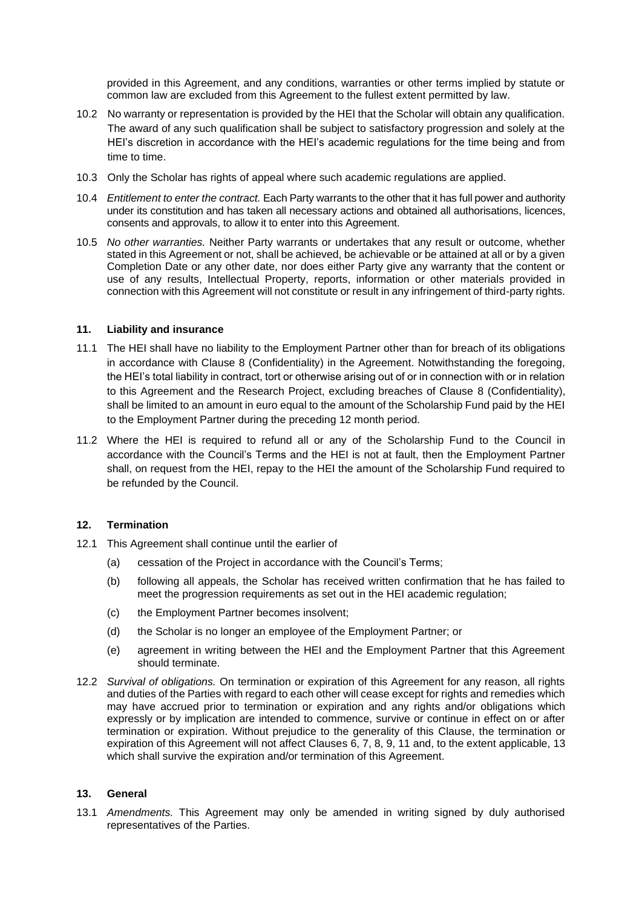provided in this Agreement, and any conditions, warranties or other terms implied by statute or common law are excluded from this Agreement to the fullest extent permitted by law.

- 10.2 No warranty or representation is provided by the HEI that the Scholar will obtain any qualification. The award of any such qualification shall be subject to satisfactory progression and solely at the HEI's discretion in accordance with the HEI's academic regulations for the time being and from time to time.
- 10.3 Only the Scholar has rights of appeal where such academic regulations are applied.
- 10.4 *Entitlement to enter the contract.* Each Party warrants to the other that it has full power and authority under its constitution and has taken all necessary actions and obtained all authorisations, licences, consents and approvals, to allow it to enter into this Agreement.
- 10.5 *No other warranties.* Neither Party warrants or undertakes that any result or outcome, whether stated in this Agreement or not, shall be achieved, be achievable or be attained at all or by a given Completion Date or any other date, nor does either Party give any warranty that the content or use of any results, Intellectual Property, reports, information or other materials provided in connection with this Agreement will not constitute or result in any infringement of third-party rights.

#### **11. Liability and insurance**

- 11.1 The HEI shall have no liability to the Employment Partner other than for breach of its obligations in accordance with Clause 8 (Confidentiality) in the Agreement. Notwithstanding the foregoing, the HEI's total liability in contract, tort or otherwise arising out of or in connection with or in relation to this Agreement and the Research Project, excluding breaches of Clause 8 (Confidentiality), shall be limited to an amount in euro equal to the amount of the Scholarship Fund paid by the HEI to the Employment Partner during the preceding 12 month period.
- 11.2 Where the HEI is required to refund all or any of the Scholarship Fund to the Council in accordance with the Council's Terms and the HEI is not at fault, then the Employment Partner shall, on request from the HEI, repay to the HEI the amount of the Scholarship Fund required to be refunded by the Council.

#### **12. Termination**

- 12.1 This Agreement shall continue until the earlier of
	- (a) cessation of the Project in accordance with the Council's Terms;
	- (b) following all appeals, the Scholar has received written confirmation that he has failed to meet the progression requirements as set out in the HEI academic regulation;
	- (c) the Employment Partner becomes insolvent;
	- (d) the Scholar is no longer an employee of the Employment Partner; or
	- (e) agreement in writing between the HEI and the Employment Partner that this Agreement should terminate.
- 12.2 *Survival of obligations.* On termination or expiration of this Agreement for any reason, all rights and duties of the Parties with regard to each other will cease except for rights and remedies which may have accrued prior to termination or expiration and any rights and/or obligations which expressly or by implication are intended to commence, survive or continue in effect on or after termination or expiration. Without prejudice to the generality of this Clause, the termination or expiration of this Agreement will not affect Clauses 6, 7, 8, 9, 11 and, to the extent applicable, 13 which shall survive the expiration and/or termination of this Agreement.

#### **13. General**

13.1 *Amendments.* This Agreement may only be amended in writing signed by duly authorised representatives of the Parties.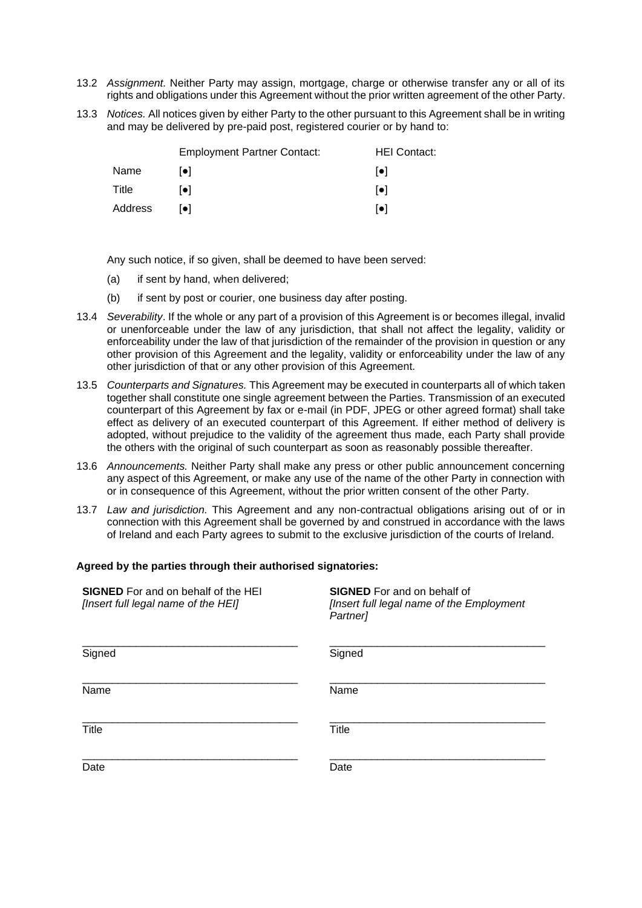- 13.2 *Assignment.* Neither Party may assign, mortgage, charge or otherwise transfer any or all of its rights and obligations under this Agreement without the prior written agreement of the other Party.
- 13.3 *Notices.* All notices given by either Party to the other pursuant to this Agreement shall be in writing and may be delivered by pre-paid post, registered courier or by hand to:

|         | <b>Employment Partner Contact:</b> | <b>HEI Contact:</b>     |
|---------|------------------------------------|-------------------------|
| Name    | l●l                                | $  \bullet  $           |
| Title   | [•]                                | $\lceil \bullet \rceil$ |
| Address | lo I                               | $\lceil \bullet \rceil$ |

Any such notice, if so given, shall be deemed to have been served:

- (a) if sent by hand, when delivered;
- (b) if sent by post or courier, one business day after posting.
- 13.4 *Severability*. If the whole or any part of a provision of this Agreement is or becomes illegal, invalid or unenforceable under the law of any jurisdiction, that shall not affect the legality, validity or enforceability under the law of that jurisdiction of the remainder of the provision in question or any other provision of this Agreement and the legality, validity or enforceability under the law of any other jurisdiction of that or any other provision of this Agreement.
- 13.5 *Counterparts and Signatures.* This Agreement may be executed in counterparts all of which taken together shall constitute one single agreement between the Parties. Transmission of an executed counterpart of this Agreement by fax or e-mail (in PDF, JPEG or other agreed format) shall take effect as delivery of an executed counterpart of this Agreement. If either method of delivery is adopted, without prejudice to the validity of the agreement thus made, each Party shall provide the others with the original of such counterpart as soon as reasonably possible thereafter.
- 13.6 *Announcements.* Neither Party shall make any press or other public announcement concerning any aspect of this Agreement, or make any use of the name of the other Party in connection with or in consequence of this Agreement, without the prior written consent of the other Party.
- 13.7 *Law and jurisdiction.* This Agreement and any non-contractual obligations arising out of or in connection with this Agreement shall be governed by and construed in accordance with the laws of Ireland and each Party agrees to submit to the exclusive jurisdiction of the courts of Ireland.

#### **Agreed by the parties through their authorised signatories:**

| <b>SIGNED</b> For and on behalf of the HEI<br>[Insert full legal name of the HEI] | <b>SIGNED</b> For and on behalf of<br>[Insert full legal name of the Employment<br>Partner] |
|-----------------------------------------------------------------------------------|---------------------------------------------------------------------------------------------|
| Signed                                                                            | Signed                                                                                      |
| Name                                                                              | Name                                                                                        |
| Title                                                                             | Title                                                                                       |
| Date                                                                              | Date                                                                                        |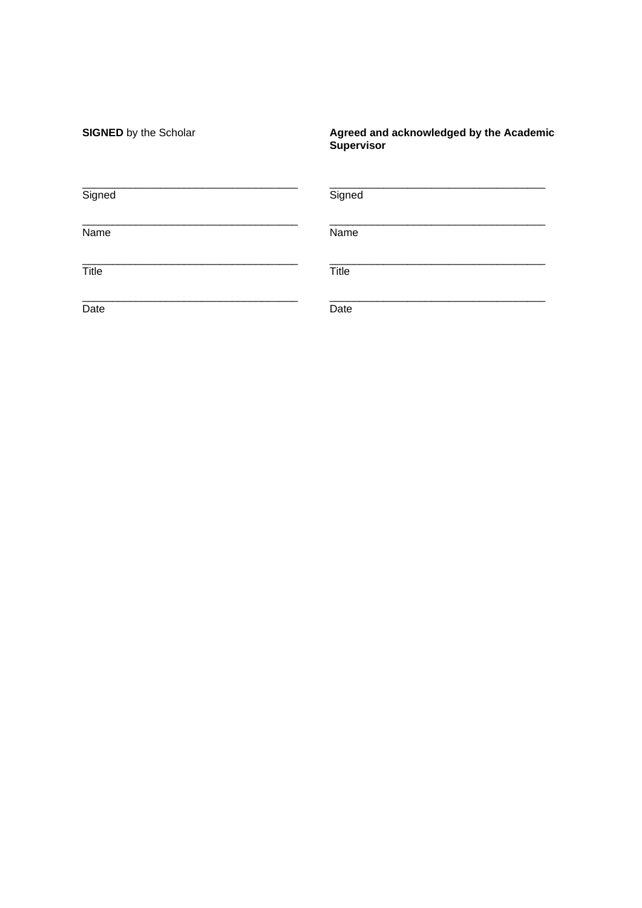| <b>SIGNED</b> by the Scholar | Agreed and acknowledged by the Academic<br>Supervisor |
|------------------------------|-------------------------------------------------------|
| Signed                       | Signed                                                |
| Name                         | Name                                                  |
| Title                        | Title                                                 |
| Date                         | Date                                                  |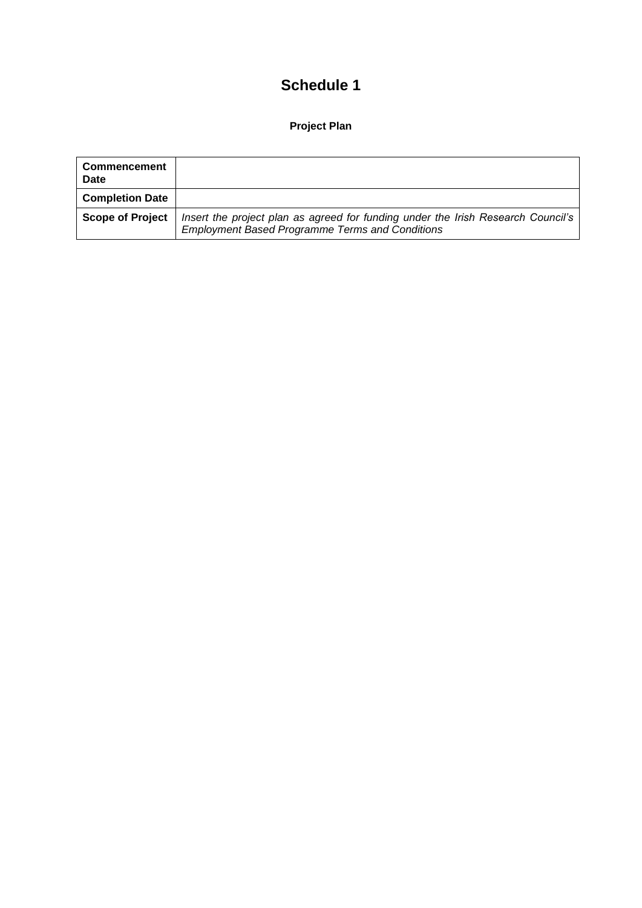# **Schedule 1**

### **Project Plan**

| <b>Commencement</b><br><b>Date</b> |                                                                                                                                            |
|------------------------------------|--------------------------------------------------------------------------------------------------------------------------------------------|
| <b>Completion Date</b>             |                                                                                                                                            |
| <b>Scope of Project</b>            | Insert the project plan as agreed for funding under the Irish Research Council's<br><b>Employment Based Programme Terms and Conditions</b> |